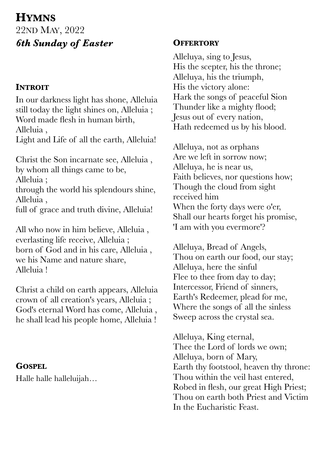# **HYMNS** 22ND MAY, 2022 *6th Sunday of Easter*

### **INTROIT**

In our darkness light has shone, Alleluia still today the light shines on, Alleluia ; Word made flesh in human birth, Alleluia , Light and Life of all the earth, Alleluia!

Christ the Son incarnate see, Alleluia , by whom all things came to be, Alleluia ; through the world his splendours shine, Alleluia , full of grace and truth divine, Alleluia!

All who now in him believe, Alleluia , everlasting life receive, Alleluia ; born of God and in his care, Alleluia , we his Name and nature share, Alleluia !

Christ a child on earth appears, Alleluia crown of all creation's years, Alleluia ; God's eternal Word has come, Alleluia , he shall lead his people home, Alleluia !

#### **GOSPEL**

Halle halle halleluijah…

#### **OFFERTORY**

Alleluya, sing to Jesus, His the scepter, his the throne; Alleluya, his the triumph, His the victory alone: Hark the songs of peaceful Sion Thunder like a mighty flood; Jesus out of every nation, Hath redeemed us by his blood.

Alleluya, not as orphans Are we left in sorrow now; Alleluya, he is near us, Faith believes, nor questions how; Though the cloud from sight received him When the forty days were o'er, Shall our hearts forget his promise, 'I am with you evermore'?

Alleluya, Bread of Angels, Thou on earth our food, our stay; Alleluya, here the sinful Flee to thee from day to day; Intercessor, Friend of sinners, Earth's Redeemer, plead for me, Where the songs of all the sinless Sweep across the crystal sea.

Alleluya, King eternal, Thee the Lord of lords we own; Alleluya, born of Mary, Earth thy footstool, heaven thy throne: Thou within the veil hast entered, Robed in flesh, our great High Priest; Thou on earth both Priest and Victim In the Eucharistic Feast.